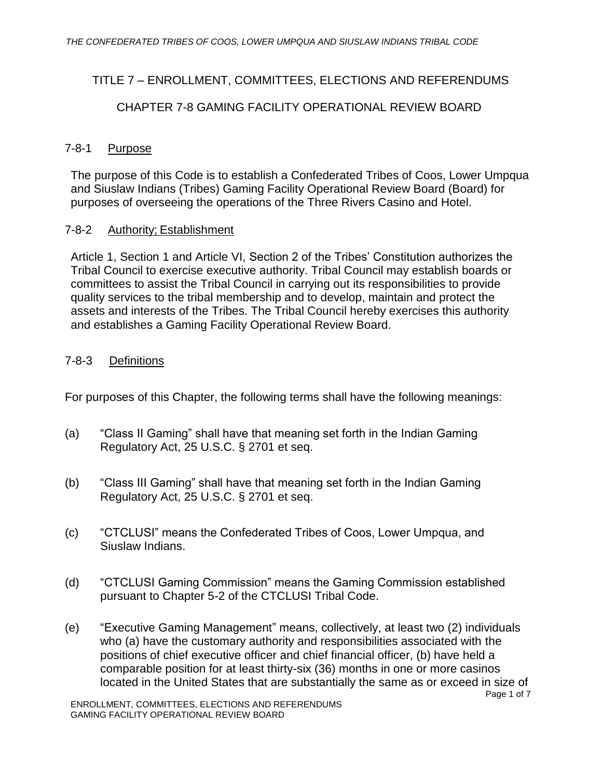# TITLE 7 – ENROLLMENT, COMMITTEES, ELECTIONS AND REFERENDUMS

## CHAPTER 7-8 GAMING FACILITY OPERATIONAL REVIEW BOARD

#### 7-8-1 Purpose

The purpose of this Code is to establish a Confederated Tribes of Coos, Lower Umpqua and Siuslaw Indians (Tribes) Gaming Facility Operational Review Board (Board) for purposes of overseeing the operations of the Three Rivers Casino and Hotel.

#### 7-8-2 Authority; Establishment

Article 1, Section 1 and Article VI, Section 2 of the Tribes' Constitution authorizes the Tribal Council to exercise executive authority. Tribal Council may establish boards or committees to assist the Tribal Council in carrying out its responsibilities to provide quality services to the tribal membership and to develop, maintain and protect the assets and interests of the Tribes. The Tribal Council hereby exercises this authority and establishes a Gaming Facility Operational Review Board.

### 7-8-3 Definitions

For purposes of this Chapter, the following terms shall have the following meanings:

- (a) "Class II Gaming" shall have that meaning set forth in the Indian Gaming Regulatory Act, 25 U.S.C. § 2701 et seq.
- (b) "Class III Gaming" shall have that meaning set forth in the Indian Gaming Regulatory Act, 25 U.S.C. § 2701 et seq.
- (c) "CTCLUSI" means the Confederated Tribes of Coos, Lower Umpqua, and Siuslaw Indians.
- (d) "CTCLUSI Gaming Commission" means the Gaming Commission established pursuant to Chapter 5-2 of the CTCLUSI Tribal Code.
- Page 1 of 7 (e) "Executive Gaming Management" means, collectively, at least two (2) individuals who (a) have the customary authority and responsibilities associated with the positions of chief executive officer and chief financial officer, (b) have held a comparable position for at least thirty-six (36) months in one or more casinos located in the United States that are substantially the same as or exceed in size of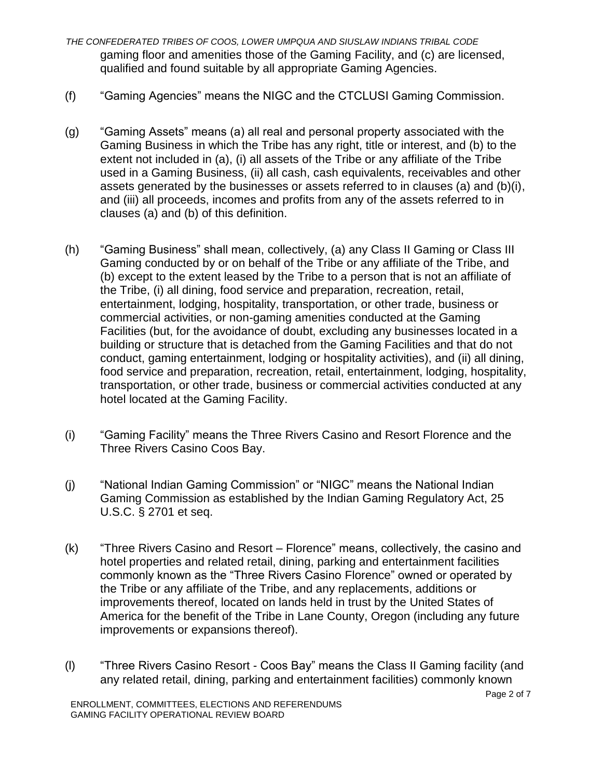- *THE CONFEDERATED TRIBES OF COOS, LOWER UMPQUA AND SIUSLAW INDIANS TRIBAL CODE* gaming floor and amenities those of the Gaming Facility, and (c) are licensed, qualified and found suitable by all appropriate Gaming Agencies.
- (f) "Gaming Agencies" means the NIGC and the CTCLUSI Gaming Commission.
- (g) "Gaming Assets" means (a) all real and personal property associated with the Gaming Business in which the Tribe has any right, title or interest, and (b) to the extent not included in (a), (i) all assets of the Tribe or any affiliate of the Tribe used in a Gaming Business, (ii) all cash, cash equivalents, receivables and other assets generated by the businesses or assets referred to in clauses (a) and (b)(i), and (iii) all proceeds, incomes and profits from any of the assets referred to in clauses (a) and (b) of this definition.
- (h) "Gaming Business" shall mean, collectively, (a) any Class II Gaming or Class III Gaming conducted by or on behalf of the Tribe or any affiliate of the Tribe, and (b) except to the extent leased by the Tribe to a person that is not an affiliate of the Tribe, (i) all dining, food service and preparation, recreation, retail, entertainment, lodging, hospitality, transportation, or other trade, business or commercial activities, or non-gaming amenities conducted at the Gaming Facilities (but, for the avoidance of doubt, excluding any businesses located in a building or structure that is detached from the Gaming Facilities and that do not conduct, gaming entertainment, lodging or hospitality activities), and (ii) all dining, food service and preparation, recreation, retail, entertainment, lodging, hospitality, transportation, or other trade, business or commercial activities conducted at any hotel located at the Gaming Facility.
- (i) "Gaming Facility" means the Three Rivers Casino and Resort Florence and the Three Rivers Casino Coos Bay.
- (j) "National Indian Gaming Commission" or "NIGC" means the National Indian Gaming Commission as established by the Indian Gaming Regulatory Act, 25 U.S.C. § 2701 et seq.
- (k) "Three Rivers Casino and Resort Florence" means, collectively, the casino and hotel properties and related retail, dining, parking and entertainment facilities commonly known as the "Three Rivers Casino Florence" owned or operated by the Tribe or any affiliate of the Tribe, and any replacements, additions or improvements thereof, located on lands held in trust by the United States of America for the benefit of the Tribe in Lane County, Oregon (including any future improvements or expansions thereof).
- (l) "Three Rivers Casino Resort Coos Bay" means the Class II Gaming facility (and any related retail, dining, parking and entertainment facilities) commonly known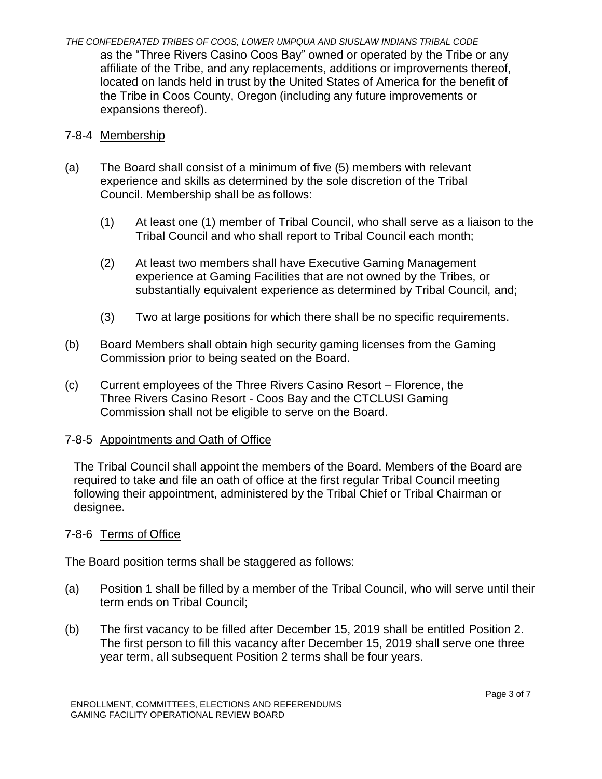*THE CONFEDERATED TRIBES OF COOS, LOWER UMPQUA AND SIUSLAW INDIANS TRIBAL CODE* as the "Three Rivers Casino Coos Bay" owned or operated by the Tribe or any affiliate of the Tribe, and any replacements, additions or improvements thereof, located on lands held in trust by the United States of America for the benefit of the Tribe in Coos County, Oregon (including any future improvements or expansions thereof).

### 7-8-4 Membership

- (a) The Board shall consist of a minimum of five (5) members with relevant experience and skills as determined by the sole discretion of the Tribal Council. Membership shall be as follows:
	- (1) At least one (1) member of Tribal Council, who shall serve as a liaison to the Tribal Council and who shall report to Tribal Council each month;
	- (2) At least two members shall have Executive Gaming Management experience at Gaming Facilities that are not owned by the Tribes, or substantially equivalent experience as determined by Tribal Council, and;
	- (3) Two at large positions for which there shall be no specific requirements.
- (b) Board Members shall obtain high security gaming licenses from the Gaming Commission prior to being seated on the Board.
- (c) Current employees of the Three Rivers Casino Resort Florence, the Three Rivers Casino Resort - Coos Bay and the CTCLUSI Gaming Commission shall not be eligible to serve on the Board.

### 7-8-5 Appointments and Oath of Office

The Tribal Council shall appoint the members of the Board. Members of the Board are required to take and file an oath of office at the first regular Tribal Council meeting following their appointment, administered by the Tribal Chief or Tribal Chairman or designee.

### 7-8-6 Terms of Office

The Board position terms shall be staggered as follows:

- (a) Position 1 shall be filled by a member of the Tribal Council, who will serve until their term ends on Tribal Council;
- (b) The first vacancy to be filled after December 15, 2019 shall be entitled Position 2. The first person to fill this vacancy after December 15, 2019 shall serve one three year term, all subsequent Position 2 terms shall be four years.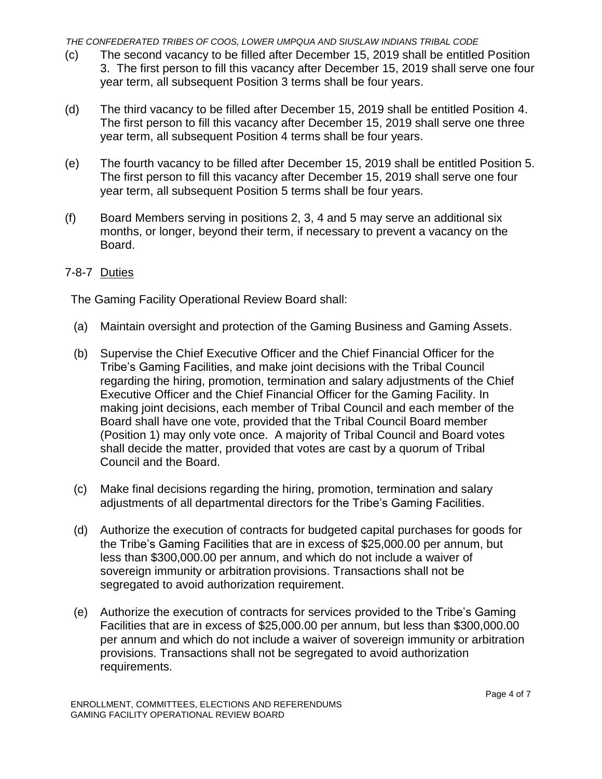*THE CONFEDERATED TRIBES OF COOS, LOWER UMPQUA AND SIUSLAW INDIANS TRIBAL CODE*

- (c) The second vacancy to be filled after December 15, 2019 shall be entitled Position 3. The first person to fill this vacancy after December 15, 2019 shall serve one four year term, all subsequent Position 3 terms shall be four years.
- (d) The third vacancy to be filled after December 15, 2019 shall be entitled Position 4. The first person to fill this vacancy after December 15, 2019 shall serve one three year term, all subsequent Position 4 terms shall be four years.
- (e) The fourth vacancy to be filled after December 15, 2019 shall be entitled Position 5. The first person to fill this vacancy after December 15, 2019 shall serve one four year term, all subsequent Position 5 terms shall be four years.
- (f) Board Members serving in positions 2, 3, 4 and 5 may serve an additional six months, or longer, beyond their term, if necessary to prevent a vacancy on the Board.

#### 7-8-7 Duties

The Gaming Facility Operational Review Board shall:

- (a) Maintain oversight and protection of the Gaming Business and Gaming Assets.
- (b) Supervise the Chief Executive Officer and the Chief Financial Officer for the Tribe's Gaming Facilities, and make joint decisions with the Tribal Council regarding the hiring, promotion, termination and salary adjustments of the Chief Executive Officer and the Chief Financial Officer for the Gaming Facility. In making joint decisions, each member of Tribal Council and each member of the Board shall have one vote, provided that the Tribal Council Board member (Position 1) may only vote once. A majority of Tribal Council and Board votes shall decide the matter, provided that votes are cast by a quorum of Tribal Council and the Board.
- (c) Make final decisions regarding the hiring, promotion, termination and salary adjustments of all departmental directors for the Tribe's Gaming Facilities.
- (d) Authorize the execution of contracts for budgeted capital purchases for goods for the Tribe's Gaming Facilities that are in excess of \$25,000.00 per annum, but less than \$300,000.00 per annum, and which do not include a waiver of sovereign immunity or arbitration provisions. Transactions shall not be segregated to avoid authorization requirement.
- (e) Authorize the execution of contracts for services provided to the Tribe's Gaming Facilities that are in excess of \$25,000.00 per annum, but less than \$300,000.00 per annum and which do not include a waiver of sovereign immunity or arbitration provisions. Transactions shall not be segregated to avoid authorization requirements.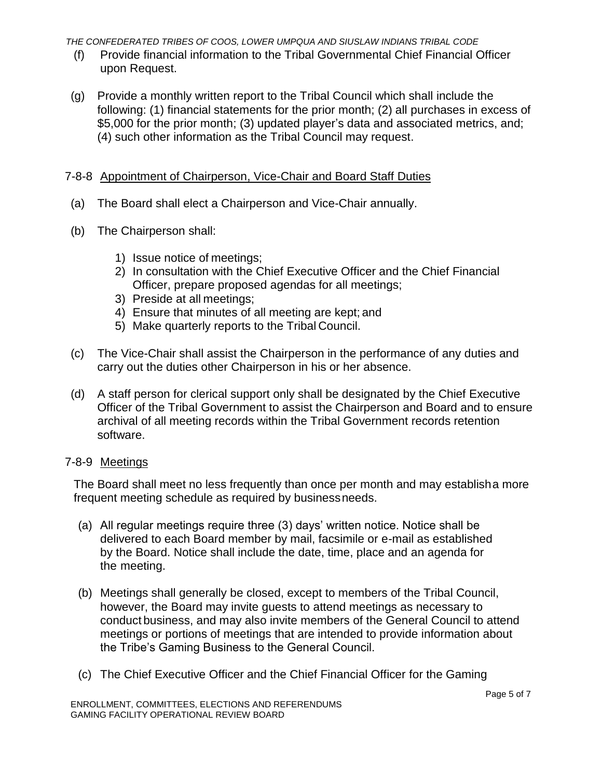*THE CONFEDERATED TRIBES OF COOS, LOWER UMPQUA AND SIUSLAW INDIANS TRIBAL CODE*

- (f) Provide financial information to the Tribal Governmental Chief Financial Officer upon Request.
- (g) Provide a monthly written report to the Tribal Council which shall include the following: (1) financial statements for the prior month; (2) all purchases in excess of \$5,000 for the prior month; (3) updated player's data and associated metrics, and; (4) such other information as the Tribal Council may request.

### 7-8-8 Appointment of Chairperson, Vice-Chair and Board Staff Duties

- (a) The Board shall elect a Chairperson and Vice-Chair annually.
- (b) The Chairperson shall:
	- 1) Issue notice of meetings;
	- 2) In consultation with the Chief Executive Officer and the Chief Financial Officer, prepare proposed agendas for all meetings;
	- 3) Preside at all meetings;
	- 4) Ensure that minutes of all meeting are kept; and
	- 5) Make quarterly reports to the Tribal Council.
- (c) The Vice-Chair shall assist the Chairperson in the performance of any duties and carry out the duties other Chairperson in his or her absence.
- (d) A staff person for clerical support only shall be designated by the Chief Executive Officer of the Tribal Government to assist the Chairperson and Board and to ensure archival of all meeting records within the Tribal Government records retention software.

### 7-8-9 Meetings

The Board shall meet no less frequently than once per month and may establisha more frequent meeting schedule as required by businessneeds.

- (a) All regular meetings require three (3) days' written notice. Notice shall be delivered to each Board member by mail, facsimile or e-mail as established by the Board. Notice shall include the date, time, place and an agenda for the meeting.
- (b) Meetings shall generally be closed, except to members of the Tribal Council, however, the Board may invite guests to attend meetings as necessary to conduct business, and may also invite members of the General Council to attend meetings or portions of meetings that are intended to provide information about the Tribe's Gaming Business to the General Council.
- (c) The Chief Executive Officer and the Chief Financial Officer for the Gaming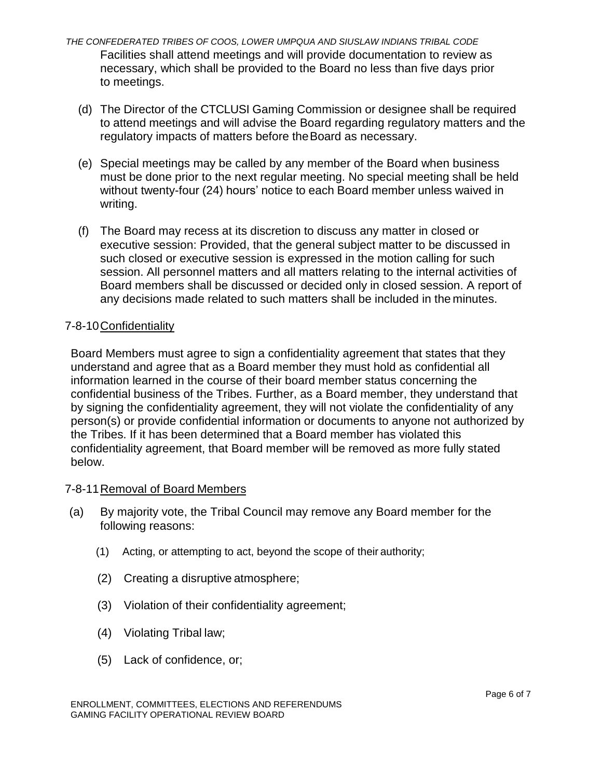- *THE CONFEDERATED TRIBES OF COOS, LOWER UMPQUA AND SIUSLAW INDIANS TRIBAL CODE* Facilities shall attend meetings and will provide documentation to review as necessary, which shall be provided to the Board no less than five days prior to meetings.
	- (d) The Director of the CTCLUSI Gaming Commission or designee shall be required to attend meetings and will advise the Board regarding regulatory matters and the regulatory impacts of matters before theBoard as necessary.
	- (e) Special meetings may be called by any member of the Board when business must be done prior to the next regular meeting. No special meeting shall be held without twenty-four (24) hours' notice to each Board member unless waived in writing.
	- (f) The Board may recess at its discretion to discuss any matter in closed or executive session: Provided, that the general subject matter to be discussed in such closed or executive session is expressed in the motion calling for such session. All personnel matters and all matters relating to the internal activities of Board members shall be discussed or decided only in closed session. A report of any decisions made related to such matters shall be included in the minutes.

## 7-8-10Confidentiality

Board Members must agree to sign a confidentiality agreement that states that they understand and agree that as a Board member they must hold as confidential all information learned in the course of their board member status concerning the confidential business of the Tribes. Further, as a Board member, they understand that by signing the confidentiality agreement, they will not violate the confidentiality of any person(s) or provide confidential information or documents to anyone not authorized by the Tribes. If it has been determined that a Board member has violated this confidentiality agreement, that Board member will be removed as more fully stated below.

### 7-8-11Removal of Board Members

- (a) By majority vote, the Tribal Council may remove any Board member for the following reasons:
	- (1) Acting, or attempting to act, beyond the scope of their authority;
	- (2) Creating a disruptive atmosphere;
	- (3) Violation of their confidentiality agreement;
	- (4) Violating Tribal law;
	- (5) Lack of confidence, or;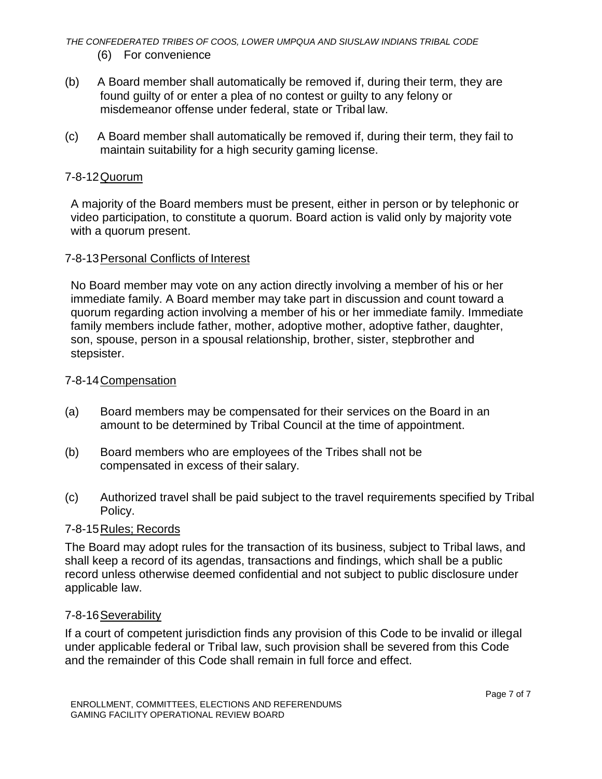*THE CONFEDERATED TRIBES OF COOS, LOWER UMPQUA AND SIUSLAW INDIANS TRIBAL CODE* (6) For convenience

- (b) A Board member shall automatically be removed if, during their term, they are found guilty of or enter a plea of no contest or guilty to any felony or misdemeanor offense under federal, state or Tribal law.
- (c) A Board member shall automatically be removed if, during their term, they fail to maintain suitability for a high security gaming license.

### 7-8-12Quorum

A majority of the Board members must be present, either in person or by telephonic or video participation, to constitute a quorum. Board action is valid only by majority vote with a quorum present.

#### 7-8-13Personal Conflicts of Interest

No Board member may vote on any action directly involving a member of his or her immediate family. A Board member may take part in discussion and count toward a quorum regarding action involving a member of his or her immediate family. Immediate family members include father, mother, adoptive mother, adoptive father, daughter, son, spouse, person in a spousal relationship, brother, sister, stepbrother and stepsister.

#### 7-8-14Compensation

- (a) Board members may be compensated for their services on the Board in an amount to be determined by Tribal Council at the time of appointment.
- (b) Board members who are employees of the Tribes shall not be compensated in excess of their salary.
- (c) Authorized travel shall be paid subject to the travel requirements specified by Tribal Policy.

### 7-8-15Rules; Records

The Board may adopt rules for the transaction of its business, subject to Tribal laws, and shall keep a record of its agendas, transactions and findings, which shall be a public record unless otherwise deemed confidential and not subject to public disclosure under applicable law.

#### 7-8-16Severability

If a court of competent jurisdiction finds any provision of this Code to be invalid or illegal under applicable federal or Tribal law, such provision shall be severed from this Code and the remainder of this Code shall remain in full force and effect.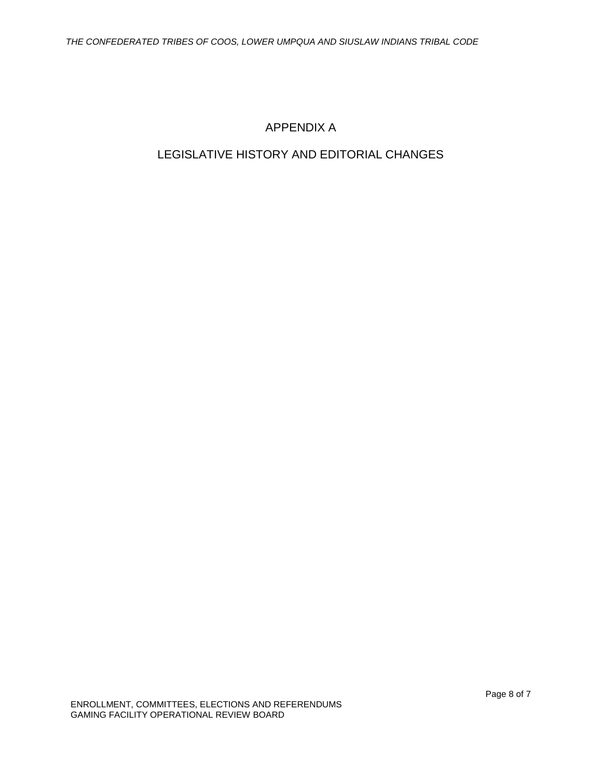## APPENDIX A

## LEGISLATIVE HISTORY AND EDITORIAL CHANGES